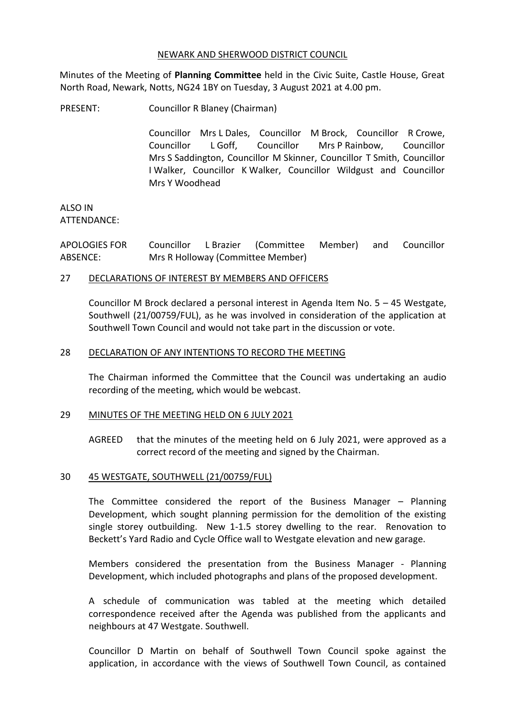# NEWARK AND SHERWOOD DISTRICT COUNCIL

Minutes of the Meeting of **Planning Committee** held in the Civic Suite, Castle House, Great North Road, Newark, Notts, NG24 1BY on Tuesday, 3 August 2021 at 4.00 pm.

PRESENT: Councillor R Blaney (Chairman)

Councillor Mrs L Dales, Councillor M Brock, Councillor R Crowe, Councillor L Goff, Councillor Mrs P Rainbow, Councillor Mrs S Saddington, Councillor M Skinner, Councillor T Smith, Councillor I Walker, Councillor K Walker, Councillor Wildgust and Councillor Mrs Y Woodhead

ALSO IN ATTENDANCE:

APOLOGIES FOR ABSENCE: Councillor L Brazier (Committee Member) and Councillor Mrs R Holloway (Committee Member)

# 27 DECLARATIONS OF INTEREST BY MEMBERS AND OFFICERS

Councillor M Brock declared a personal interest in Agenda Item No. 5 – 45 Westgate, Southwell (21/00759/FUL), as he was involved in consideration of the application at Southwell Town Council and would not take part in the discussion or vote.

# 28 DECLARATION OF ANY INTENTIONS TO RECORD THE MEETING

The Chairman informed the Committee that the Council was undertaking an audio recording of the meeting, which would be webcast.

#### 29 MINUTES OF THE MEETING HELD ON 6 JULY 2021

AGREED that the minutes of the meeting held on 6 July 2021, were approved as a correct record of the meeting and signed by the Chairman.

#### 30 45 WESTGATE, SOUTHWELL (21/00759/FUL)

The Committee considered the report of the Business Manager – Planning Development, which sought planning permission for the demolition of the existing single storey outbuilding. New 1-1.5 storey dwelling to the rear. Renovation to Beckett's Yard Radio and Cycle Office wall to Westgate elevation and new garage.

Members considered the presentation from the Business Manager - Planning Development, which included photographs and plans of the proposed development.

A schedule of communication was tabled at the meeting which detailed correspondence received after the Agenda was published from the applicants and neighbours at 47 Westgate. Southwell.

Councillor D Martin on behalf of Southwell Town Council spoke against the application, in accordance with the views of Southwell Town Council, as contained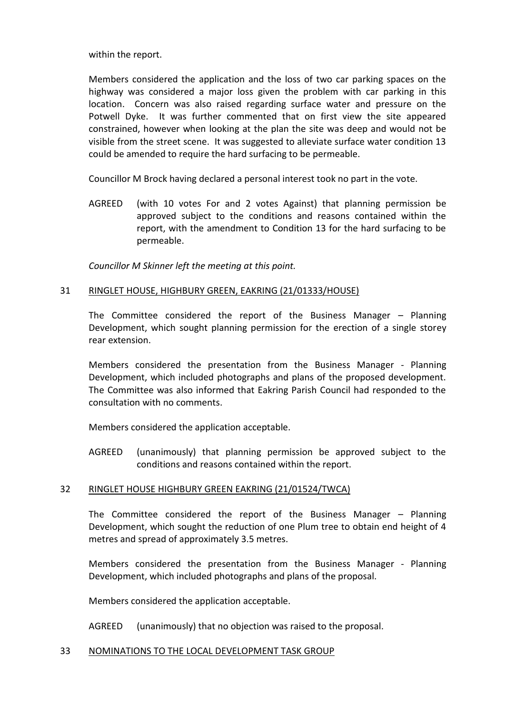within the report.

Members considered the application and the loss of two car parking spaces on the highway was considered a major loss given the problem with car parking in this location. Concern was also raised regarding surface water and pressure on the Potwell Dyke. It was further commented that on first view the site appeared constrained, however when looking at the plan the site was deep and would not be visible from the street scene. It was suggested to alleviate surface water condition 13 could be amended to require the hard surfacing to be permeable.

Councillor M Brock having declared a personal interest took no part in the vote.

AGREED (with 10 votes For and 2 votes Against) that planning permission be approved subject to the conditions and reasons contained within the report, with the amendment to Condition 13 for the hard surfacing to be permeable.

*Councillor M Skinner left the meeting at this point.*

# 31 RINGLET HOUSE, HIGHBURY GREEN, EAKRING (21/01333/HOUSE)

The Committee considered the report of the Business Manager – Planning Development, which sought planning permission for the erection of a single storey rear extension.

Members considered the presentation from the Business Manager - Planning Development, which included photographs and plans of the proposed development. The Committee was also informed that Eakring Parish Council had responded to the consultation with no comments.

Members considered the application acceptable.

AGREED (unanimously) that planning permission be approved subject to the conditions and reasons contained within the report.

#### 32 RINGLET HOUSE HIGHBURY GREEN EAKRING (21/01524/TWCA)

The Committee considered the report of the Business Manager – Planning Development, which sought the reduction of one Plum tree to obtain end height of 4 metres and spread of approximately 3.5 metres.

Members considered the presentation from the Business Manager - Planning Development, which included photographs and plans of the proposal.

Members considered the application acceptable.

AGREED (unanimously) that no objection was raised to the proposal.

#### 33 NOMINATIONS TO THE LOCAL DEVELOPMENT TASK GROUP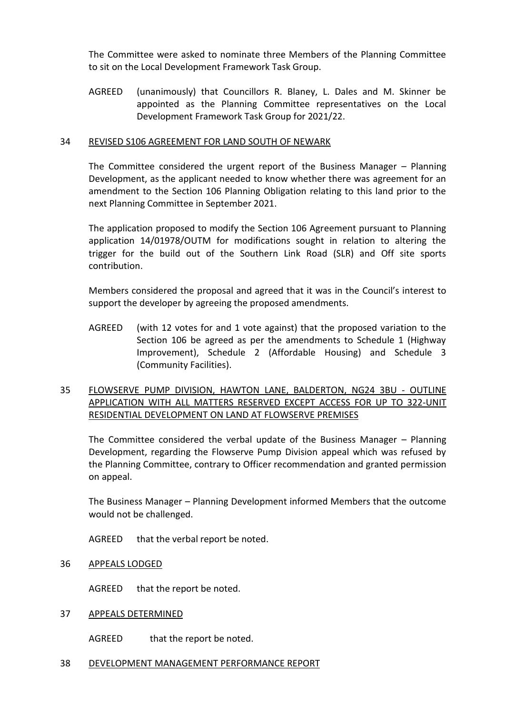The Committee were asked to nominate three Members of the Planning Committee to sit on the Local Development Framework Task Group.

AGREED (unanimously) that Councillors R. Blaney, L. Dales and M. Skinner be appointed as the Planning Committee representatives on the Local Development Framework Task Group for 2021/22.

# 34 REVISED S106 AGREEMENT FOR LAND SOUTH OF NEWARK

The Committee considered the urgent report of the Business Manager – Planning Development, as the applicant needed to know whether there was agreement for an amendment to the Section 106 Planning Obligation relating to this land prior to the next Planning Committee in September 2021.

The application proposed to modify the Section 106 Agreement pursuant to Planning application 14/01978/OUTM for modifications sought in relation to altering the trigger for the build out of the Southern Link Road (SLR) and Off site sports contribution.

Members considered the proposal and agreed that it was in the Council's interest to support the developer by agreeing the proposed amendments.

AGREED (with 12 votes for and 1 vote against) that the proposed variation to the Section 106 be agreed as per the amendments to Schedule 1 (Highway Improvement), Schedule 2 (Affordable Housing) and Schedule 3 (Community Facilities).

# 35 FLOWSERVE PUMP DIVISION, HAWTON LANE, BALDERTON, NG24 3BU - OUTLINE APPLICATION WITH ALL MATTERS RESERVED EXCEPT ACCESS FOR UP TO 322-UNIT RESIDENTIAL DEVELOPMENT ON LAND AT FLOWSERVE PREMISES

The Committee considered the verbal update of the Business Manager – Planning Development, regarding the Flowserve Pump Division appeal which was refused by the Planning Committee, contrary to Officer recommendation and granted permission on appeal.

The Business Manager – Planning Development informed Members that the outcome would not be challenged.

AGREED that the verbal report be noted.

36 APPEALS LODGED

AGREED that the report be noted.

# 37 APPEALS DETERMINED

AGREED that the report be noted.

#### 38 DEVELOPMENT MANAGEMENT PERFORMANCE REPORT